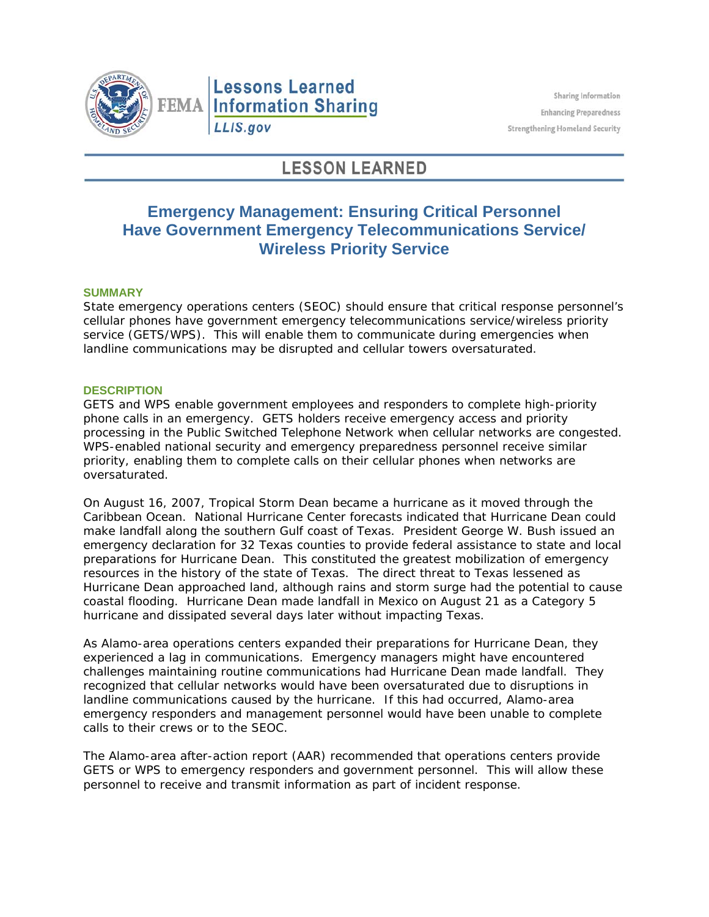

# **Lessons Learned FEMA Information Sharing** LLIS.gov

# **LESSON LEARNED**

## **Emergency Management: Ensuring Critical Personnel Have Government Emergency Telecommunications Service/ Wireless Priority Service**

### **SUMMARY**

State emergency operations centers (SEOC) should ensure that critical response personnel's cellular phones have government emergency telecommunications service/wireless priority service (GETS/WPS). This will enable them to communicate during emergencies when landline communications may be disrupted and cellular towers oversaturated.

### **DESCRIPTION**

GETS and WPS enable government employees and responders to complete high-priority phone calls in an emergency. GETS holders receive emergency access and priority processing in the Public Switched Telephone Network when cellular networks are congested. WPS-enabled national security and emergency preparedness personnel receive similar priority, enabling them to complete calls on their cellular phones when networks are oversaturated.

On August 16, 2007, Tropical Storm Dean became a hurricane as it moved through the Caribbean Ocean. National Hurricane Center forecasts indicated that Hurricane Dean could make landfall along the southern Gulf coast of Texas. President George W. Bush issued an emergency declaration for 32 Texas counties to provide federal assistance to state and local preparations for Hurricane Dean. This constituted the greatest mobilization of emergency resources in the history of the state of Texas. The direct threat to Texas lessened as Hurricane Dean approached land, although rains and storm surge had the potential to cause coastal flooding. Hurricane Dean made landfall in Mexico on August 21 as a Category 5 hurricane and dissipated several days later without impacting Texas.

As Alamo-area operations centers expanded their preparations for Hurricane Dean, they experienced a lag in communications. Emergency managers might have encountered challenges maintaining routine communications had Hurricane Dean made landfall. They recognized that cellular networks would have been oversaturated due to disruptions in landline communications caused by the hurricane. If this had occurred, Alamo-area emergency responders and management personnel would have been unable to complete calls to their crews or to the SEOC.

The Alamo-area after-action report (AAR) recommended that operations centers provide GETS or WPS to emergency responders and government personnel. This will allow these personnel to receive and transmit information as part of incident response.